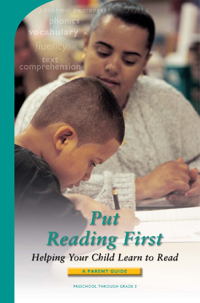phonemic awareness phonics vocabulary

text<br>comprehension

# Reading First

Put

### Helping Your Child Learn to Read

**A PARENT GUIDE** 

PRESCHOOL THROUGH GRADE 3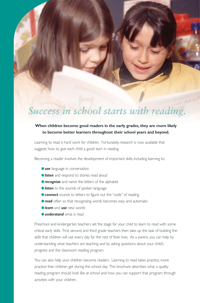### Success in school starts with reading.

#### **When children become good readers in the early grades, they are more likely to become better learners throughout their school years and beyond.**

Learning to read is hard work for children. Fortunately, research is now available that suggests how to give each child a good start in reading.

Becoming a reader involves the development of important skills, including learning to:

- **lacking** use language in conversation
- *elisten* and respond to stories read aloud
- **recognize** and name the letters of the alphabet
- **listen** to the sounds of spoken language
- ●*connect* sounds to letters to figure out the "code" of reading
- **read** often so that recognizing words becomes easy and automatic
- ●*learn* and *use* new words
- **Ounderstand** what is read

Preschool and kindergarten teachers set the stage for your child to learn to read with some critical early skills. First, second, and third grade teachers then take up the task of building the skills that children will use every day for the rest of their lives. As a parent, you can help by understanding what teachers are teaching and by asking questions about your child's progress and the classroom reading program.

You can also help your children become readers. Learning to read takes practice, more practice than children get during the school day. This brochure describes what a quality reading program should look like at school and how you can support that program through activities with your children.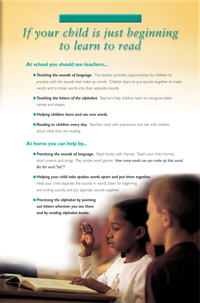# If your child is just beginning to learn to read

#### **At school you should see teachers...**

- **Teaching the sounds of language.** The teacher provides opportunities for children to practice with the sounds that make up words. Children learn to put sounds together to make words and to break words into their separate sounds.
- **Teaching the letters of the alphabet.** Teachers help children learn to recognize letter names and shapes.
- ●*Helping children learn and use new words.*
- **Reading to children every day.** Teachers read with expression and talk with children about what they are reading.

#### **At home you can help by...**

●*Practicing the sounds of language.* Read books with rhymes. Teach your child rhymes, short poems, and songs. Play simple word games: *How many words can you make up that sound like the word "bat"?*

●*Helping your child take spoken words apart and put them together.* Help your child separate the sounds in words, listen for beginning and ending sounds, and put separate sounds together.

●*Practicing the alphabet by pointing out letters wherever you see them and by reading alphabet books.*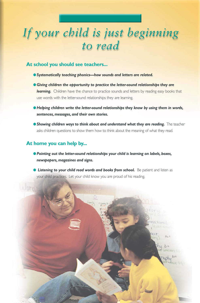# If your child is just beginning to read

#### **At school you should see teachers...**

- ●*Systematically teaching phonics—how sounds and letters are related.*
- ●*Giving children the opportunity to practice the letter-sound relationships they are learning.* Children have the chance to practice sounds and letters by reading easy books that use words with the letter-sound relationships they are learning.
- ●*Helping children write the letter-sound relationships they know by using them in words, sentences, messages, and their own stories.*
- ●*Showing children ways to think about and understand what they are reading.* The teacher asks children questions to show them how to think about the meaning of what they read.

#### **At home you can help by...**

- ●*Pointing out the letter-sound relationships your child is learning on labels, boxes, newspapers, magazines and signs.*
- **Eistening to your child read words and books from school.** Be patient and listen as your child practices. Let your child know you are proud of his reading.

MEM

 $b.a$ 

aphy Ark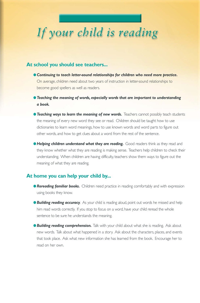# If your child is reading

#### **At school you should see teachers...**

- ●*Continuing to teach letter-sound relationships for children who need more practice.* On average, children need about two years of instruction in letter-sound relationships to become good spellers as well as readers.
- ●*Teaching the meaning of words, especially words that are important to understanding a book.*
- **Teaching ways to learn the meaning of new words.** Teachers cannot possibly teach students the meaning of every new word they see or read. Children should be taught how to use dictionaries to learn word meanings, how to use known words and word parts to figure out other words, and how to get clues about a word from the rest of the sentence.
- **Helping children understand what they are reading.** Good readers think as they read and they know whether what they are reading is making sense. Teachers help children to check their understanding. When children are having difficulty, teachers show them ways to figure out the meaning of what they are reading.

#### **At home you can help your child by...**

- **Rereading familiar books.** Children need practice in reading comfortably and with expression using books they know.
- **Building reading accuracy**. As your child is reading aloud, point out words he missed and help him read words correctly. If you stop to focus on a word, have your child reread the whole sentence to be sure he understands the meaning.
- ●*Building reading comprehension.* Talk with your child about what she is reading. Ask about new words. Talk about what happened in a story. Ask about the characters, places, and events that took place. Ask what new information she has learned from the book. Encourage her to read on her own.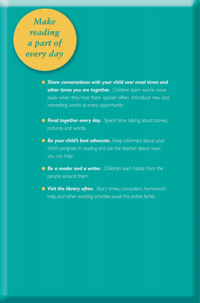Make reading a part of every day

- *Share conversations with your child over meal times and other times you are together.* Children learn words more easily when they hear them spoken often. Introduce new and interesting words at every opportunity.
- **Read together every day.** Spend time talking about stories, pictures, and words.
- **Be your child's best advocate.** Keep informed about your child's progress in reading and ask the teacher about ways you can help.
- **Be a reader and a writer.** Children learn habits from the people around them.
- *Visit the library often.* Story times, computers, homework help, and other exciting activities await the entire family.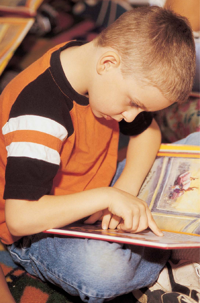